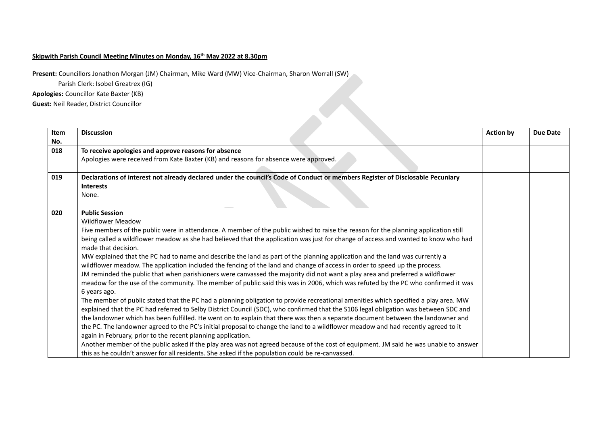## **Skipwith Parish Council Meeting Minutes on Monday, 16th May 2022 at 8.30pm**

**Present:** Councillors Jonathon Morgan (JM) Chairman, Mike Ward (MW) Vice-Chairman, Sharon Worrall (SW)

Parish Clerk: Isobel Greatrex (IG)

**Apologies:** Councillor Kate Baxter (KB)

**Guest:** Neil Reader, District Councillor

| Item | <b>Discussion</b>                                                                                                                                 | <b>Action by</b> | <b>Due Date</b> |
|------|---------------------------------------------------------------------------------------------------------------------------------------------------|------------------|-----------------|
| No.  |                                                                                                                                                   |                  |                 |
| 018  | To receive apologies and approve reasons for absence                                                                                              |                  |                 |
|      | Apologies were received from Kate Baxter (KB) and reasons for absence were approved.                                                              |                  |                 |
| 019  | Declarations of interest not already declared under the council's Code of Conduct or members Register of Disclosable Pecuniary                    |                  |                 |
|      | <b>Interests</b>                                                                                                                                  |                  |                 |
|      | None.                                                                                                                                             |                  |                 |
| 020  | <b>Public Session</b>                                                                                                                             |                  |                 |
|      | <b>Wildflower Meadow</b>                                                                                                                          |                  |                 |
|      | Five members of the public were in attendance. A member of the public wished to raise the reason for the planning application still               |                  |                 |
|      | being called a wildflower meadow as she had believed that the application was just for change of access and wanted to know who had                |                  |                 |
|      | made that decision.                                                                                                                               |                  |                 |
|      | MW explained that the PC had to name and describe the land as part of the planning application and the land was currently a                       |                  |                 |
|      | wildflower meadow. The application included the fencing of the land and change of access in order to speed up the process.                        |                  |                 |
|      | JM reminded the public that when parishioners were canvassed the majority did not want a play area and preferred a wildflower                     |                  |                 |
|      | meadow for the use of the community. The member of public said this was in 2006, which was refuted by the PC who confirmed it was<br>6 years ago. |                  |                 |
|      | The member of public stated that the PC had a planning obligation to provide recreational amenities which specified a play area. MW               |                  |                 |
|      | explained that the PC had referred to Selby District Council (SDC), who confirmed that the S106 legal obligation was between SDC and              |                  |                 |
|      | the landowner which has been fulfilled. He went on to explain that there was then a separate document between the landowner and                   |                  |                 |
|      | the PC. The landowner agreed to the PC's initial proposal to change the land to a wildflower meadow and had recently agreed to it                 |                  |                 |
|      | again in February, prior to the recent planning application.                                                                                      |                  |                 |
|      | Another member of the public asked if the play area was not agreed because of the cost of equipment. JM said he was unable to answer              |                  |                 |
|      | this as he couldn't answer for all residents. She asked if the population could be re-canvassed.                                                  |                  |                 |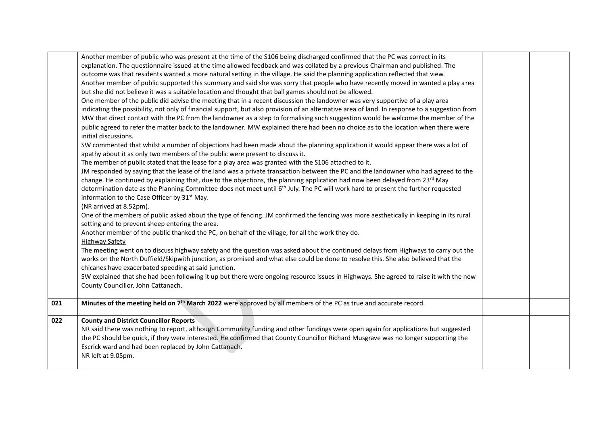|     | Another member of public who was present at the time of the S106 being discharged confirmed that the PC was correct in its<br>explanation. The questionnaire issued at the time allowed feedback and was collated by a previous Chairman and published. The                                                                      |  |
|-----|----------------------------------------------------------------------------------------------------------------------------------------------------------------------------------------------------------------------------------------------------------------------------------------------------------------------------------|--|
|     | outcome was that residents wanted a more natural setting in the village. He said the planning application reflected that view.                                                                                                                                                                                                   |  |
|     | Another member of public supported this summary and said she was sorry that people who have recently moved in wanted a play area                                                                                                                                                                                                 |  |
|     | but she did not believe it was a suitable location and thought that ball games should not be allowed.                                                                                                                                                                                                                            |  |
|     | One member of the public did advise the meeting that in a recent discussion the landowner was very supportive of a play area                                                                                                                                                                                                     |  |
|     | indicating the possibility, not only of financial support, but also provision of an alternative area of land. In response to a suggestion from                                                                                                                                                                                   |  |
|     | MW that direct contact with the PC from the landowner as a step to formalising such suggestion would be welcome the member of the                                                                                                                                                                                                |  |
|     | public agreed to refer the matter back to the landowner. MW explained there had been no choice as to the location when there were<br>initial discussions.                                                                                                                                                                        |  |
|     | SW commented that whilst a number of objections had been made about the planning application it would appear there was a lot of<br>apathy about it as only two members of the public were present to discuss it.                                                                                                                 |  |
|     | The member of public stated that the lease for a play area was granted with the S106 attached to it.                                                                                                                                                                                                                             |  |
|     | JM responded by saying that the lease of the land was a private transaction between the PC and the landowner who had agreed to the                                                                                                                                                                                               |  |
|     | change. He continued by explaining that, due to the objections, the planning application had now been delayed from 23 <sup>rd</sup> May                                                                                                                                                                                          |  |
|     | determination date as the Planning Committee does not meet until 6th July. The PC will work hard to present the further requested                                                                                                                                                                                                |  |
|     | information to the Case Officer by 31 <sup>st</sup> May.                                                                                                                                                                                                                                                                         |  |
|     | (NR arrived at 8.52pm).                                                                                                                                                                                                                                                                                                          |  |
|     | One of the members of public asked about the type of fencing. JM confirmed the fencing was more aesthetically in keeping in its rural                                                                                                                                                                                            |  |
|     | setting and to prevent sheep entering the area.                                                                                                                                                                                                                                                                                  |  |
|     | Another member of the public thanked the PC, on behalf of the village, for all the work they do.                                                                                                                                                                                                                                 |  |
|     | <b>Highway Safety</b>                                                                                                                                                                                                                                                                                                            |  |
|     | The meeting went on to discuss highway safety and the question was asked about the continued delays from Highways to carry out the<br>works on the North Duffield/Skipwith junction, as promised and what else could be done to resolve this. She also believed that the<br>chicanes have exacerbated speeding at said junction. |  |
|     | SW explained that she had been following it up but there were ongoing resource issues in Highways. She agreed to raise it with the new                                                                                                                                                                                           |  |
|     | County Councillor, John Cattanach.                                                                                                                                                                                                                                                                                               |  |
|     |                                                                                                                                                                                                                                                                                                                                  |  |
| 021 | Minutes of the meeting held on 7 <sup>th</sup> March 2022 were approved by all members of the PC as true and accurate record.                                                                                                                                                                                                    |  |
| 022 | <b>County and District Councillor Reports</b>                                                                                                                                                                                                                                                                                    |  |
|     | NR said there was nothing to report, although Community funding and other fundings were open again for applications but suggested                                                                                                                                                                                                |  |
|     | the PC should be quick, if they were interested. He confirmed that County Councillor Richard Musgrave was no longer supporting the                                                                                                                                                                                               |  |
|     | Escrick ward and had been replaced by John Cattanach.                                                                                                                                                                                                                                                                            |  |
|     | NR left at 9.05pm.                                                                                                                                                                                                                                                                                                               |  |
|     |                                                                                                                                                                                                                                                                                                                                  |  |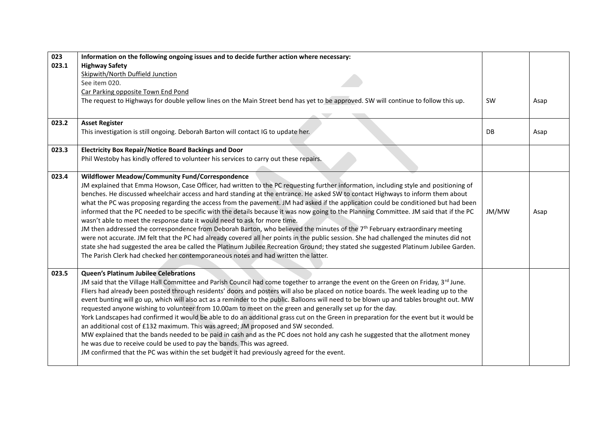| 023   | Information on the following ongoing issues and to decide further action where necessary:                                                                                                                                                                                     |           |      |
|-------|-------------------------------------------------------------------------------------------------------------------------------------------------------------------------------------------------------------------------------------------------------------------------------|-----------|------|
| 023.1 | <b>Highway Safety</b>                                                                                                                                                                                                                                                         |           |      |
|       | Skipwith/North Duffield Junction                                                                                                                                                                                                                                              |           |      |
|       | See item 020.                                                                                                                                                                                                                                                                 |           |      |
|       | Car Parking opposite Town End Pond                                                                                                                                                                                                                                            |           |      |
|       | The request to Highways for double yellow lines on the Main Street bend has yet to be approved. SW will continue to follow this up.                                                                                                                                           | <b>SW</b> | Asap |
|       |                                                                                                                                                                                                                                                                               |           |      |
| 023.2 | <b>Asset Register</b>                                                                                                                                                                                                                                                         |           |      |
|       | This investigation is still ongoing. Deborah Barton will contact IG to update her.                                                                                                                                                                                            | DB        | Asap |
|       |                                                                                                                                                                                                                                                                               |           |      |
| 023.3 | <b>Electricity Box Repair/Notice Board Backings and Door</b>                                                                                                                                                                                                                  |           |      |
|       | Phil Westoby has kindly offered to volunteer his services to carry out these repairs.                                                                                                                                                                                         |           |      |
|       |                                                                                                                                                                                                                                                                               |           |      |
| 023.4 | Wildflower Meadow/Community Fund/Correspondence                                                                                                                                                                                                                               |           |      |
|       | JM explained that Emma Howson, Case Officer, had written to the PC requesting further information, including style and positioning of                                                                                                                                         |           |      |
|       | benches. He discussed wheelchair access and hard standing at the entrance. He asked SW to contact Highways to inform them about                                                                                                                                               |           |      |
|       | what the PC was proposing regarding the access from the pavement. JM had asked if the application could be conditioned but had been<br>informed that the PC needed to be specific with the details because it was now going to the Planning Committee. JM said that if the PC | JM/MW     |      |
|       | wasn't able to meet the response date it would need to ask for more time.                                                                                                                                                                                                     |           | Asap |
|       | JM then addressed the correspondence from Deborah Barton, who believed the minutes of the 7 <sup>th</sup> February extraordinary meeting                                                                                                                                      |           |      |
|       | were not accurate. JM felt that the PC had already covered all her points in the public session. She had challenged the minutes did not                                                                                                                                       |           |      |
|       | state she had suggested the area be called the Platinum Jubilee Recreation Ground; they stated she suggested Platinum Jubilee Garden.                                                                                                                                         |           |      |
|       | The Parish Clerk had checked her contemporaneous notes and had written the latter.                                                                                                                                                                                            |           |      |
|       |                                                                                                                                                                                                                                                                               |           |      |
| 023.5 | <b>Queen's Platinum Jubilee Celebrations</b>                                                                                                                                                                                                                                  |           |      |
|       | JM said that the Village Hall Committee and Parish Council had come together to arrange the event on the Green on Friday, 3rd June.                                                                                                                                           |           |      |
|       | Fliers had already been posted through residents' doors and posters will also be placed on notice boards. The week leading up to the                                                                                                                                          |           |      |
|       | event bunting will go up, which will also act as a reminder to the public. Balloons will need to be blown up and tables brought out. MW                                                                                                                                       |           |      |
|       | requested anyone wishing to volunteer from 10.00am to meet on the green and generally set up for the day.                                                                                                                                                                     |           |      |
|       | York Landscapes had confirmed it would be able to do an additional grass cut on the Green in preparation for the event but it would be                                                                                                                                        |           |      |
|       | an additional cost of £132 maximum. This was agreed; JM proposed and SW seconded.                                                                                                                                                                                             |           |      |
|       | MW explained that the bands needed to be paid in cash and as the PC does not hold any cash he suggested that the allotment money                                                                                                                                              |           |      |
|       | he was due to receive could be used to pay the bands. This was agreed.                                                                                                                                                                                                        |           |      |
|       | JM confirmed that the PC was within the set budget it had previously agreed for the event.                                                                                                                                                                                    |           |      |
|       |                                                                                                                                                                                                                                                                               |           |      |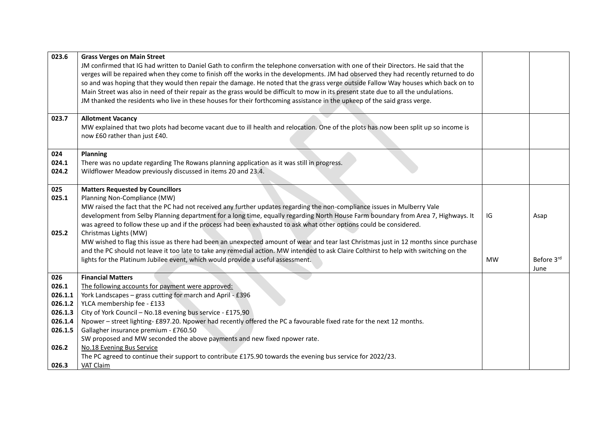| 023.6   | <b>Grass Verges on Main Street</b>                                                                                                     |           |            |
|---------|----------------------------------------------------------------------------------------------------------------------------------------|-----------|------------|
|         | JM confirmed that IG had written to Daniel Gath to confirm the telephone conversation with one of their Directors. He said that the    |           |            |
|         | verges will be repaired when they come to finish off the works in the developments. JM had observed they had recently returned to do   |           |            |
|         | so and was hoping that they would then repair the damage. He noted that the grass verge outside Fallow Way houses which back on to     |           |            |
|         | Main Street was also in need of their repair as the grass would be difficult to mow in its present state due to all the undulations.   |           |            |
|         | JM thanked the residents who live in these houses for their forthcoming assistance in the upkeep of the said grass verge.              |           |            |
| 023.7   | <b>Allotment Vacancy</b>                                                                                                               |           |            |
|         | MW explained that two plots had become vacant due to ill health and relocation. One of the plots has now been split up so income is    |           |            |
|         | now £60 rather than just £40.                                                                                                          |           |            |
|         |                                                                                                                                        |           |            |
| 024     | Planning                                                                                                                               |           |            |
| 024.1   | There was no update regarding The Rowans planning application as it was still in progress.                                             |           |            |
| 024.2   | Wildflower Meadow previously discussed in items 20 and 23.4.                                                                           |           |            |
| 025     | <b>Matters Requested by Councillors</b>                                                                                                |           |            |
| 025.1   | Planning Non-Compliance (MW)                                                                                                           |           |            |
|         | MW raised the fact that the PC had not received any further updates regarding the non-compliance issues in Mulberry Vale               |           |            |
|         | development from Selby Planning department for a long time, equally regarding North House Farm boundary from Area 7, Highways. It      | IG        | Asap       |
|         | was agreed to follow these up and if the process had been exhausted to ask what other options could be considered.                     |           |            |
| 025.2   | Christmas Lights (MW)                                                                                                                  |           |            |
|         | MW wished to flag this issue as there had been an unexpected amount of wear and tear last Christmas just in 12 months since purchase   |           |            |
|         | and the PC should not leave it too late to take any remedial action. MW intended to ask Claire Colthirst to help with switching on the |           |            |
|         | lights for the Platinum Jubilee event, which would provide a useful assessment.                                                        | <b>MW</b> | Before 3rd |
|         |                                                                                                                                        |           | June       |
| 026     | <b>Financial Matters</b>                                                                                                               |           |            |
| 026.1   | The following accounts for payment were approved:                                                                                      |           |            |
| 026.1.1 | York Landscapes - grass cutting for march and April - £396                                                                             |           |            |
| 026.1.2 | YLCA membership fee - £133                                                                                                             |           |            |
| 026.1.3 | City of York Council - No.18 evening bus service - £175,90                                                                             |           |            |
| 026.1.4 | Npower - street lighting- £897.20. Npower had recently offered the PC a favourable fixed rate for the next 12 months.                  |           |            |
| 026.1.5 | Gallagher insurance premium - £760.50                                                                                                  |           |            |
|         | SW proposed and MW seconded the above payments and new fixed npower rate.                                                              |           |            |
| 026.2   | No.18 Evening Bus Service                                                                                                              |           |            |
|         | The PC agreed to continue their support to contribute £175.90 towards the evening bus service for 2022/23.                             |           |            |
| 026.3   | VAT Claim                                                                                                                              |           |            |